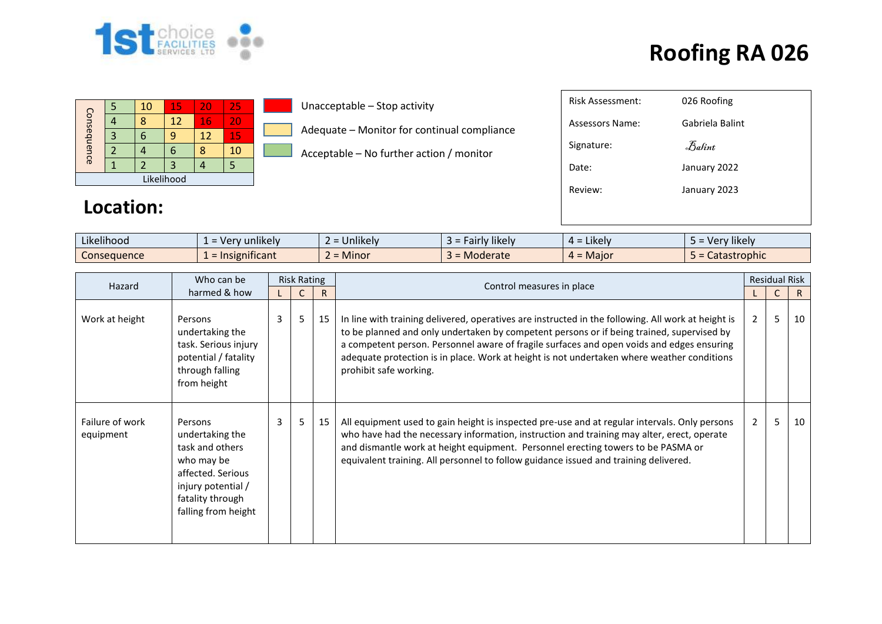

| Consequence |  | 10 | 15 | 20 | 25  |  |  |  |  |
|-------------|--|----|----|----|-----|--|--|--|--|
|             |  |    | 12 | 16 | VI. |  |  |  |  |
|             |  |    |    | 12 | 15  |  |  |  |  |
|             |  |    |    |    | 10  |  |  |  |  |
|             |  |    |    |    |     |  |  |  |  |
| Likelihood  |  |    |    |    |     |  |  |  |  |

**Location:**

#### Unacceptable – Stop activity

Adequate – Monitor for continual compliance

Acceptable – No further action / monitor

| <b>Risk Assessment:</b> | 026 Roofing         |
|-------------------------|---------------------|
| Assessors Name:         | Gabriela Balint     |
| Signature:              | $\mathcal{B}$ alint |
| Date:                   | January 2022        |
| Review:                 | January 2023        |
|                         |                     |
|                         |                     |

| $\cdot$ $\cdot$ $\cdot$<br>$\cdots$<br>Likelihood | $\cdots$<br>unlikely<br><b>Mer</b><br>$\sim$ | <b>Jnlikely</b> | $\cdots$<br>* likely i<br>au | ⊿ikelv i     | $\cdots$<br><b>Hikely</b><br>uarı |
|---------------------------------------------------|----------------------------------------------|-----------------|------------------------------|--------------|-----------------------------------|
| Consequence                                       | nificant<br><u>.sien</u>                     | Minor <b>M</b>  | Moderate                     | .vlajor<br>- | Catastrophic<br><u>_</u>          |

| Hazard                       | Who can be                                                                                                                                        | <b>Risk Rating</b> |   |    |                                                                                                                                                                                                                                                                                                                                                                                                                      |                | <b>Residual Risk</b> |    |
|------------------------------|---------------------------------------------------------------------------------------------------------------------------------------------------|--------------------|---|----|----------------------------------------------------------------------------------------------------------------------------------------------------------------------------------------------------------------------------------------------------------------------------------------------------------------------------------------------------------------------------------------------------------------------|----------------|----------------------|----|
|                              | harmed & how                                                                                                                                      |                    |   | R. | Control measures in place                                                                                                                                                                                                                                                                                                                                                                                            |                |                      | R. |
| Work at height               | Persons<br>undertaking the<br>task. Serious injury<br>potential / fatality<br>through falling<br>from height                                      | 3                  | 5 | 15 | In line with training delivered, operatives are instructed in the following. All work at height is<br>to be planned and only undertaken by competent persons or if being trained, supervised by<br>a competent person. Personnel aware of fragile surfaces and open voids and edges ensuring<br>adequate protection is in place. Work at height is not undertaken where weather conditions<br>prohibit safe working. | $\overline{2}$ | 5                    | 10 |
| Failure of work<br>equipment | Persons<br>undertaking the<br>task and others<br>who may be<br>affected. Serious<br>injury potential /<br>fatality through<br>falling from height | 3                  | 5 | 15 | All equipment used to gain height is inspected pre-use and at regular intervals. Only persons<br>who have had the necessary information, instruction and training may alter, erect, operate<br>and dismantle work at height equipment. Personnel erecting towers to be PASMA or<br>equivalent training. All personnel to follow guidance issued and training delivered.                                              | $\overline{2}$ | 5                    | 10 |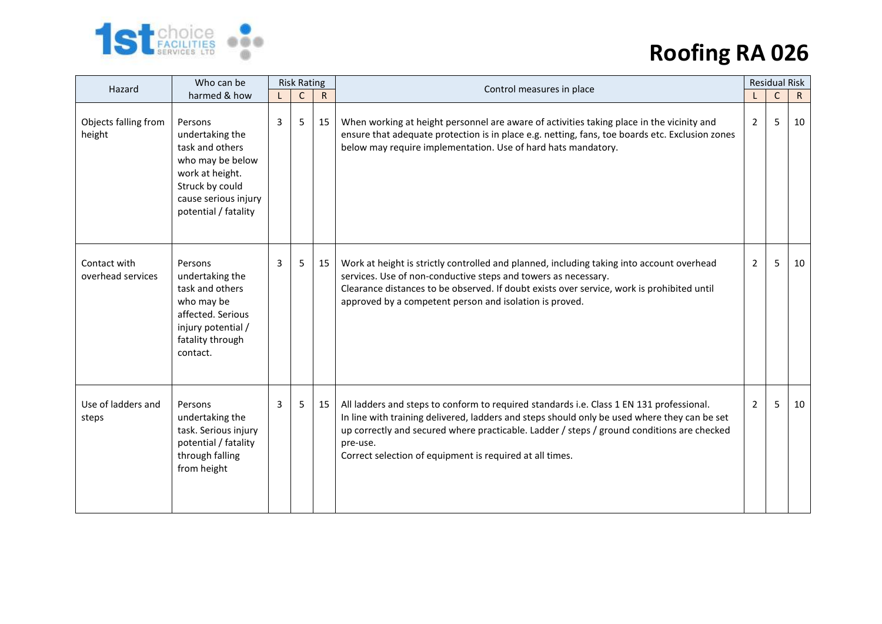

| Hazard                            | Who can be                                                                                                                                              | <b>Risk Rating</b> |              |           | Control measures in place                                                                                                                                                                                                                                                                                                                                      | <b>Residual Risk</b> |             |              |
|-----------------------------------|---------------------------------------------------------------------------------------------------------------------------------------------------------|--------------------|--------------|-----------|----------------------------------------------------------------------------------------------------------------------------------------------------------------------------------------------------------------------------------------------------------------------------------------------------------------------------------------------------------------|----------------------|-------------|--------------|
|                                   | harmed & how                                                                                                                                            |                    | $\mathsf{C}$ | ${\sf R}$ |                                                                                                                                                                                                                                                                                                                                                                |                      | $\mathsf C$ | $\mathsf{R}$ |
| Objects falling from<br>height    | Persons<br>undertaking the<br>task and others<br>who may be below<br>work at height.<br>Struck by could<br>cause serious injury<br>potential / fatality | 3                  | 5            | 15        | When working at height personnel are aware of activities taking place in the vicinity and<br>ensure that adequate protection is in place e.g. netting, fans, toe boards etc. Exclusion zones<br>below may require implementation. Use of hard hats mandatory.                                                                                                  | 2                    | 5           | 10           |
| Contact with<br>overhead services | Persons<br>undertaking the<br>task and others<br>who may be<br>affected. Serious<br>injury potential /<br>fatality through<br>contact.                  | 3                  | 5            | 15        | Work at height is strictly controlled and planned, including taking into account overhead<br>services. Use of non-conductive steps and towers as necessary.<br>Clearance distances to be observed. If doubt exists over service, work is prohibited until<br>approved by a competent person and isolation is proved.                                           | 2                    | 5           | 10           |
| Use of ladders and<br>steps       | Persons<br>undertaking the<br>task. Serious injury<br>potential / fatality<br>through falling<br>from height                                            | $\overline{3}$     | 5            | 15        | All ladders and steps to conform to required standards i.e. Class 1 EN 131 professional.<br>In line with training delivered, ladders and steps should only be used where they can be set<br>up correctly and secured where practicable. Ladder / steps / ground conditions are checked<br>pre-use.<br>Correct selection of equipment is required at all times. | 2                    | 5.          | 10           |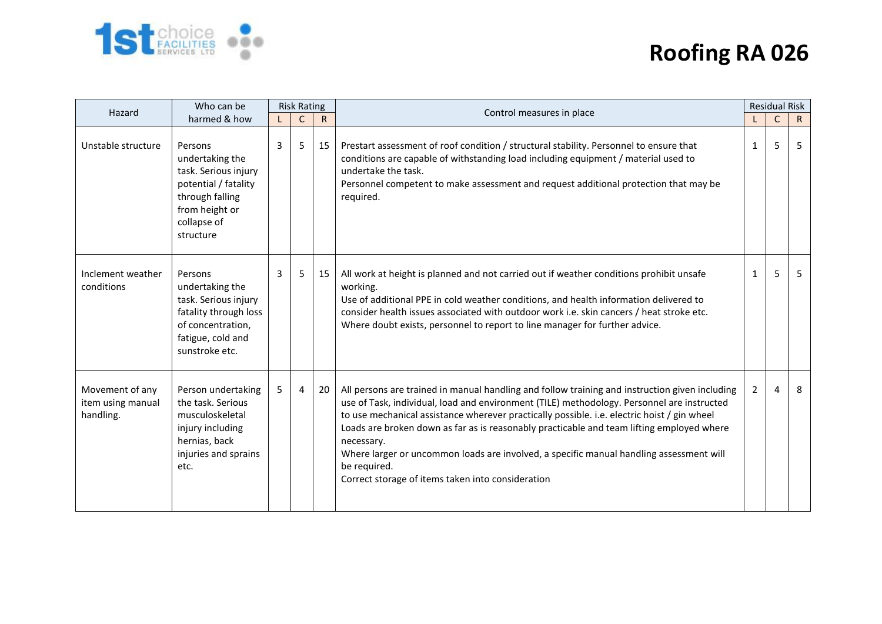

| Hazard                                            | Who can be                                                                                                                                  | <b>Risk Rating</b> |              |              | Control measures in place                                                                                                                                                                                                                                                                                                                                                                                                                                                                                                                                              | <b>Residual Risk</b> |              |              |
|---------------------------------------------------|---------------------------------------------------------------------------------------------------------------------------------------------|--------------------|--------------|--------------|------------------------------------------------------------------------------------------------------------------------------------------------------------------------------------------------------------------------------------------------------------------------------------------------------------------------------------------------------------------------------------------------------------------------------------------------------------------------------------------------------------------------------------------------------------------------|----------------------|--------------|--------------|
|                                                   | harmed & how                                                                                                                                |                    | $\mathsf{C}$ | $\mathsf{R}$ |                                                                                                                                                                                                                                                                                                                                                                                                                                                                                                                                                                        |                      | $\mathsf{C}$ | $\mathsf{R}$ |
| Unstable structure                                | Persons<br>undertaking the<br>task. Serious injury<br>potential / fatality<br>through falling<br>from height or<br>collapse of<br>structure | 3                  | 5            | 15           | Prestart assessment of roof condition / structural stability. Personnel to ensure that<br>conditions are capable of withstanding load including equipment / material used to<br>undertake the task.<br>Personnel competent to make assessment and request additional protection that may be<br>required.                                                                                                                                                                                                                                                               | $\mathbf{1}$         | 5            | 5            |
| Inclement weather<br>conditions                   | Persons<br>undertaking the<br>task. Serious injury<br>fatality through loss<br>of concentration,<br>fatigue, cold and<br>sunstroke etc.     | 3                  | 5            | 15           | All work at height is planned and not carried out if weather conditions prohibit unsafe<br>working.<br>Use of additional PPE in cold weather conditions, and health information delivered to<br>consider health issues associated with outdoor work i.e. skin cancers / heat stroke etc.<br>Where doubt exists, personnel to report to line manager for further advice.                                                                                                                                                                                                | $\mathbf{1}$         | 5            | 5            |
| Movement of any<br>item using manual<br>handling. | Person undertaking<br>the task. Serious<br>musculoskeletal<br>injury including<br>hernias, back<br>injuries and sprains<br>etc.             | 5                  | 4            | 20           | All persons are trained in manual handling and follow training and instruction given including<br>use of Task, individual, load and environment (TILE) methodology. Personnel are instructed<br>to use mechanical assistance wherever practically possible. i.e. electric hoist / gin wheel<br>Loads are broken down as far as is reasonably practicable and team lifting employed where<br>necessary.<br>Where larger or uncommon loads are involved, a specific manual handling assessment will<br>be required.<br>Correct storage of items taken into consideration | 2                    | 4            | 8            |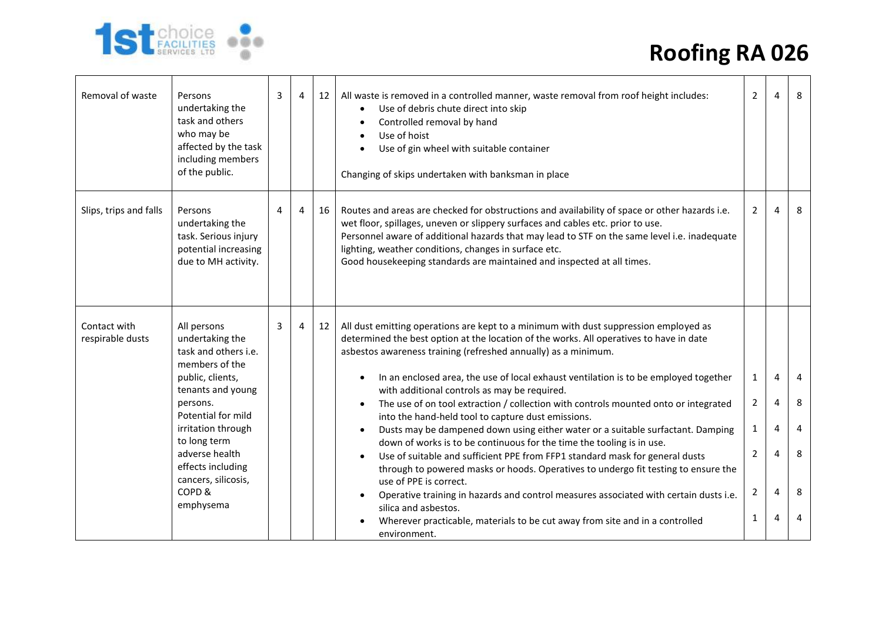



| Removal of waste                 | Persons<br>undertaking the<br>task and others<br>who may be<br>affected by the task<br>including members<br>of the public. | 3 | 4 | 12 | All waste is removed in a controlled manner, waste removal from roof height includes:<br>Use of debris chute direct into skip<br>$\bullet$<br>Controlled removal by hand<br>$\bullet$<br>Use of hoist<br>$\bullet$<br>Use of gin wheel with suitable container<br>$\bullet$<br>Changing of skips undertaken with banksman in place                                                                                  | $\overline{2}$ | 4 | 8 |
|----------------------------------|----------------------------------------------------------------------------------------------------------------------------|---|---|----|---------------------------------------------------------------------------------------------------------------------------------------------------------------------------------------------------------------------------------------------------------------------------------------------------------------------------------------------------------------------------------------------------------------------|----------------|---|---|
| Slips, trips and falls           | Persons<br>undertaking the<br>task. Serious injury<br>potential increasing<br>due to MH activity.                          | 4 | 4 | 16 | Routes and areas are checked for obstructions and availability of space or other hazards i.e.<br>wet floor, spillages, uneven or slippery surfaces and cables etc. prior to use.<br>Personnel aware of additional hazards that may lead to STF on the same level i.e. inadequate<br>lighting, weather conditions, changes in surface etc.<br>Good housekeeping standards are maintained and inspected at all times. | 2              | 4 | 8 |
| Contact with<br>respirable dusts | All persons<br>undertaking the<br>task and others i.e.<br>members of the<br>public, clients,                               | 3 | 4 | 12 | All dust emitting operations are kept to a minimum with dust suppression employed as<br>determined the best option at the location of the works. All operatives to have in date<br>asbestos awareness training (refreshed annually) as a minimum.<br>In an enclosed area, the use of local exhaust ventilation is to be employed together                                                                           | 1              | 4 | 4 |
|                                  | tenants and young                                                                                                          |   |   |    | with additional controls as may be required.                                                                                                                                                                                                                                                                                                                                                                        |                |   |   |
|                                  | persons.<br>Potential for mild                                                                                             |   |   |    | The use of on tool extraction / collection with controls mounted onto or integrated<br>into the hand-held tool to capture dust emissions.                                                                                                                                                                                                                                                                           | 2              |   | 8 |
|                                  | irritation through<br>to long term                                                                                         |   |   |    | Dusts may be dampened down using either water or a suitable surfactant. Damping<br>$\bullet$                                                                                                                                                                                                                                                                                                                        | 1              | 4 | 4 |
|                                  | adverse health<br>effects including<br>cancers, silicosis,                                                                 |   |   |    | down of works is to be continuous for the time the tooling is in use.<br>Use of suitable and sufficient PPE from FFP1 standard mask for general dusts<br>through to powered masks or hoods. Operatives to undergo fit testing to ensure the<br>use of PPE is correct.                                                                                                                                               | 2              |   | 8 |
|                                  | COPD&<br>emphysema                                                                                                         |   |   |    | Operative training in hazards and control measures associated with certain dusts i.e.<br>silica and asbestos.                                                                                                                                                                                                                                                                                                       | 2              | 4 | 8 |
|                                  |                                                                                                                            |   |   |    | Wherever practicable, materials to be cut away from site and in a controlled<br>environment.                                                                                                                                                                                                                                                                                                                        | 1              | 4 | 4 |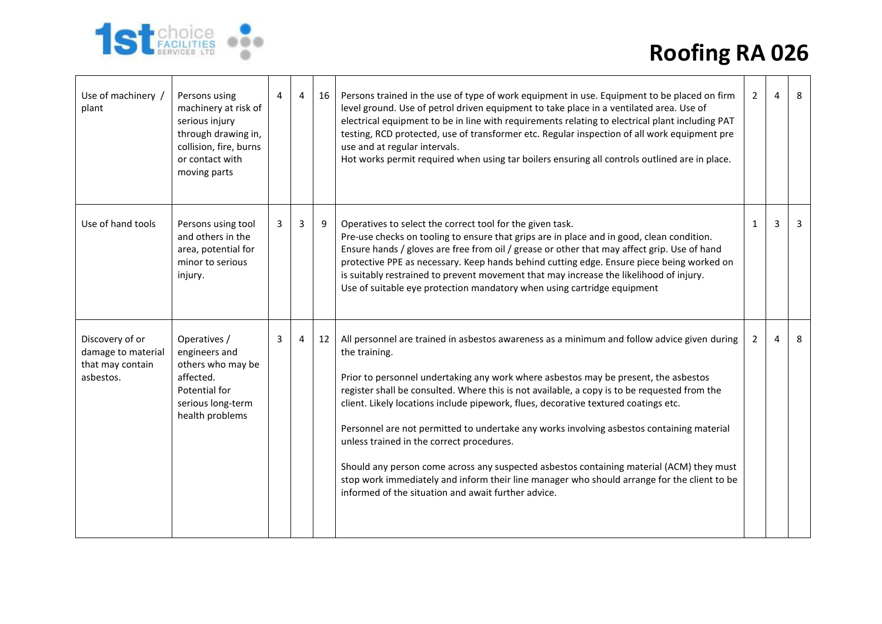



| Use of machinery /<br>plant                                            | Persons using<br>machinery at risk of<br>serious injury<br>through drawing in,<br>collision, fire, burns<br>or contact with<br>moving parts | 4 | $\overline{4}$ | 16 | Persons trained in the use of type of work equipment in use. Equipment to be placed on firm<br>level ground. Use of petrol driven equipment to take place in a ventilated area. Use of<br>electrical equipment to be in line with requirements relating to electrical plant including PAT<br>testing, RCD protected, use of transformer etc. Regular inspection of all work equipment pre<br>use and at regular intervals.<br>Hot works permit required when using tar boilers ensuring all controls outlined are in place.                                                                                                                                                                                                                                                            | $\overline{2}$ | 4 | 8 |
|------------------------------------------------------------------------|---------------------------------------------------------------------------------------------------------------------------------------------|---|----------------|----|----------------------------------------------------------------------------------------------------------------------------------------------------------------------------------------------------------------------------------------------------------------------------------------------------------------------------------------------------------------------------------------------------------------------------------------------------------------------------------------------------------------------------------------------------------------------------------------------------------------------------------------------------------------------------------------------------------------------------------------------------------------------------------------|----------------|---|---|
| Use of hand tools                                                      | Persons using tool<br>and others in the<br>area, potential for<br>minor to serious<br>injury.                                               | 3 | 3              | 9  | Operatives to select the correct tool for the given task.<br>Pre-use checks on tooling to ensure that grips are in place and in good, clean condition.<br>Ensure hands / gloves are free from oil / grease or other that may affect grip. Use of hand<br>protective PPE as necessary. Keep hands behind cutting edge. Ensure piece being worked on<br>is suitably restrained to prevent movement that may increase the likelihood of injury.<br>Use of suitable eye protection mandatory when using cartridge equipment                                                                                                                                                                                                                                                                | 1              | 3 | 3 |
| Discovery of or<br>damage to material<br>that may contain<br>asbestos. | Operatives /<br>engineers and<br>others who may be<br>affected.<br>Potential for<br>serious long-term<br>health problems                    | 3 | $\overline{4}$ | 12 | All personnel are trained in asbestos awareness as a minimum and follow advice given during<br>the training.<br>Prior to personnel undertaking any work where asbestos may be present, the asbestos<br>register shall be consulted. Where this is not available, a copy is to be requested from the<br>client. Likely locations include pipework, flues, decorative textured coatings etc.<br>Personnel are not permitted to undertake any works involving asbestos containing material<br>unless trained in the correct procedures.<br>Should any person come across any suspected asbestos containing material (ACM) they must<br>stop work immediately and inform their line manager who should arrange for the client to be<br>informed of the situation and await further advice. | 2              | 4 | 8 |